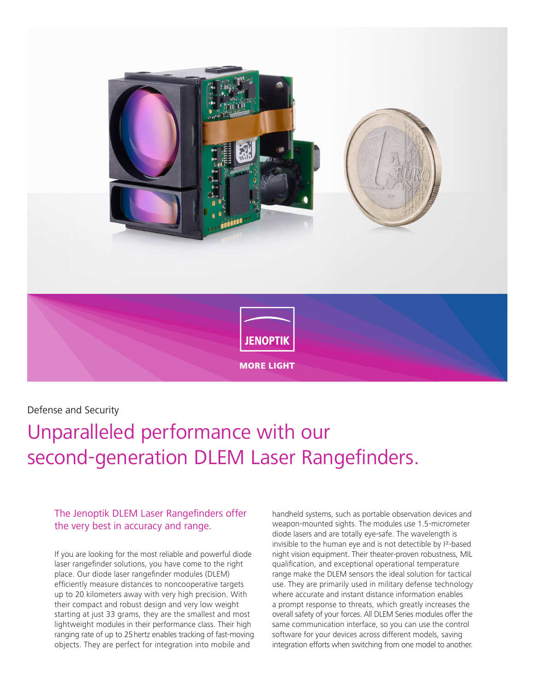

Defense and Security

# Unparalleled performance with our second-generation DLEM Laser Rangefinders.

The Jenoptik DLEM Laser Rangefinders offer the very best in accuracy and range.

If you are looking for the most reliable and powerful diode laser rangefinder solutions, you have come to the right place. Our diode laser rangefinder modules (DLEM) efficiently measure distances to noncooperative targets up to 20 kilometers away with very high precision. With their compact and robust design and very low weight starting at just 33 grams, they are the smallest and most lightweight modules in their performance class. Their high ranging rate of up to 25hertz enables tracking of fast-moving objects. They are perfect for integration into mobile and

handheld systems, such as portable observation devices and weapon-mounted sights. The modules use 1.5-micrometer diode lasers and are totally eye-safe. The wavelength is invisible to the human eye and is not detectible by I²-based night vision equipment. Their theater-proven robustness, MIL qualification, and exceptional operational temperature range make the DLEM sensors the ideal solution for tactical use. They are primarily used in military defense technology where accurate and instant distance information enables a prompt response to threats, which greatly increases the overall safety of your forces. All DLEM Series modules offer the same communication interface, so you can use the control software for your devices across different models, saving integration efforts when switching from one model to another.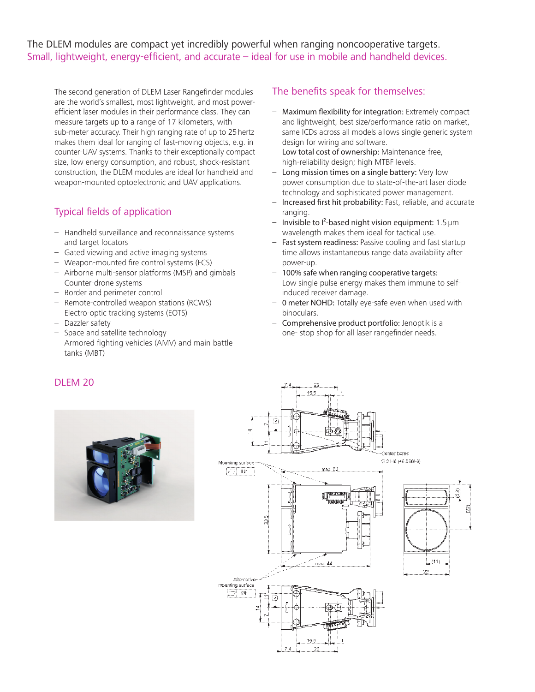The DLEM modules are compact yet incredibly powerful when ranging noncooperative targets. Small, lightweight, energy-efficient, and accurate – ideal for use in mobile and handheld devices.

The second generation of DLEM Laser Rangefinder modules are the world's smallest, most lightweight, and most powerefficient laser modules in their performance class. They can measure targets up to a range of 17 kilometers, with sub-meter accuracy. Their high ranging rate of up to 25hertz makes them ideal for ranging of fast-moving objects, e.g. in counter-UAV systems. Thanks to their exceptionally compact size, low energy consumption, and robust, shock-resistant construction, the DLEM modules are ideal for handheld and weapon-mounted optoelectronic and UAV applications.

## Typical fields of application

- Handheld surveillance and reconnaissance systems and target locators
- Gated viewing and active imaging systems
- Weapon-mounted fire control systems (FCS)
- Airborne multi-sensor platforms (MSP) and gimbals
- Counter-drone systems
- Border and perimeter control
- Remote-controlled weapon stations (RCWS)
- Electro-optic tracking systems (EOTS)
- Dazzler safety
- Space and satellite technology
- Armored fighting vehicles (AMV) and main battle tanks (MBT)

#### The benefits speak for themselves:

- Maximum flexibility for integration: Extremely compact and lightweight, best size/performance ratio on market, same ICDs across all models allows single generic system design for wiring and software.
- Low total cost of ownership: Maintenance-free, high-reliability design; high MTBF levels.
- Long mission times on a single battery: Very low power consumption due to state-of-the-art laser diode technology and sophisticated power management.
- Increased first hit probability: Fast, reliable, and accurate ranging.
- $-$  Invisible to  $I^2$ -based night vision equipment: 1.5  $\mu$ m wavelength makes them ideal for tactical use.
- Fast system readiness: Passive cooling and fast startup time allows instantaneous range data availability after power-up.
- 100% safe when ranging cooperative targets: Low single pulse energy makes them immune to selfinduced receiver damage.
- 0 meter NOHD: Totally eye-safe even when used with binoculars.
- Comprehensive product portfolio: Jenoptik is a one- stop shop for all laser rangefinder needs.

#### DLEM 20



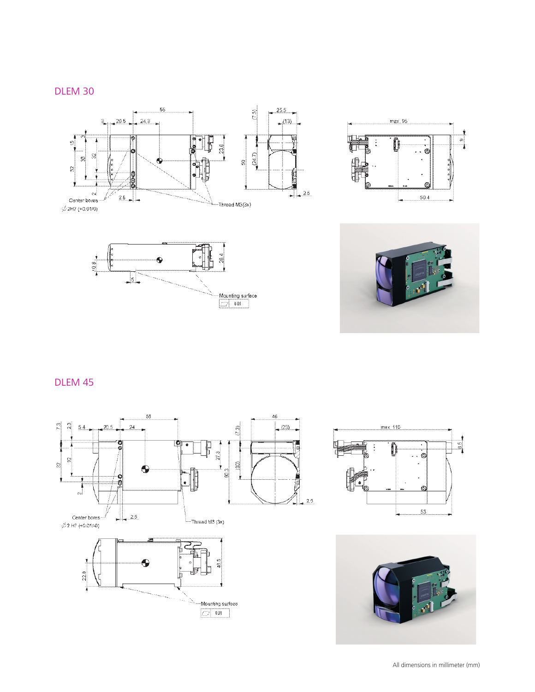### DLEM 30









# DLEM 45